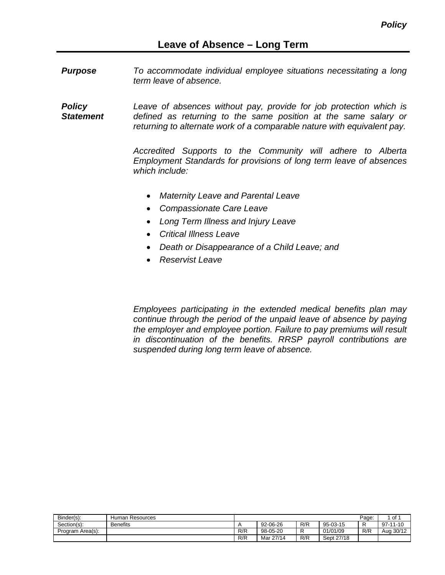*Purpose To accommodate individual employee situations necessitating a long term leave of absence.*

*Policy Statement Leave of absences without pay, provide for job protection which is defined as returning to the same position at the same salary or returning to alternate work of a comparable nature with equivalent pay.*

> *Accredited Supports to the Community will adhere to Alberta Employment Standards for provisions of long term leave of absences which include:*

- *Maternity Leave and Parental Leave*
- *Compassionate Care Leave*
- *Long Term Illness and Injury Leave*
- *Critical Illness Leave*
- *Death or Disappearance of a Child Leave; and*
- *Reservist Leave*

*Employees participating in the extended medical benefits plan may continue through the period of the unpaid leave of absence by paying the employer and employee portion. Failure to pay premiums will result in discontinuation of the benefits. RRSP payroll contributions are suspended during long term leave of absence.*

| Binder(s):       | Human Resources |     |           |     |            | Page: | . of ∸     |
|------------------|-----------------|-----|-----------|-----|------------|-------|------------|
| Section(s):      | <b>Benefits</b> |     | 92-06-26  | R/R | 95-03-15   |       | $97-11-10$ |
| Program Area(s): |                 | R/R | 98-05-20  |     | 01/01/09   | R/R   | Aug 30/12  |
|                  |                 | R/R | Mar 27/14 | R/R | Sept 27/18 |       |            |